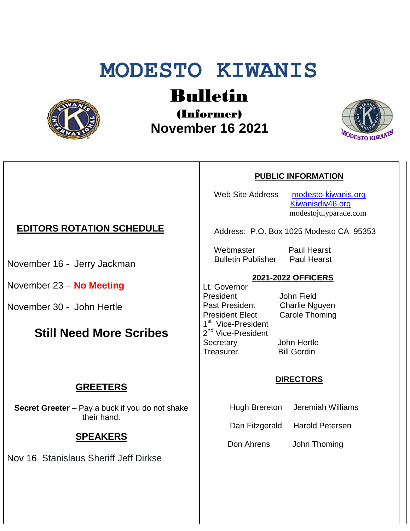# **MODESTO KIWANIS**



# Bulletin

(Informer)  **November 16 2021**



**PUBLIC INFORMATION**

Web Site Address [modesto-kiwanis.org](http://modesto-kiwanis.org/) [Kiwanisdiv46.org](http://www.kiwanisdiv46.org/) modestojulyparade.com

Address: P.O. Box 1025 Modesto CA 95353

 Webmaster Paul Hearst Bulletin Publisher Paul Hearst

### **2021-2022 OFFICERS**

Lt. Governor President John Field Past President Charlie Nguyen President Elect Carole Thoming 1<sup>st</sup> Vice-President 2<sup>nd</sup> Vice-President Secretary John Hertle Treasurer Bill Gordin

#### **DIRECTORS**

- Hugh Brereton Jeremiah Williams
- Dan Fitzgerald Harold Petersen

Don Ahrens John Thoming

# **EDITORS ROTATION SCHEDULE**

November 16 - Jerry Jackman

November 23 – **No Meeting**

November 30 - John Hertle

# **Still Need More Scribes**

### **GREETERS**

**Secret Greeter** – Pay a buck if you do not shake their hand.

# **SPEAKERS**

Nov 16 Stanislaus Sheriff Jeff Dirkse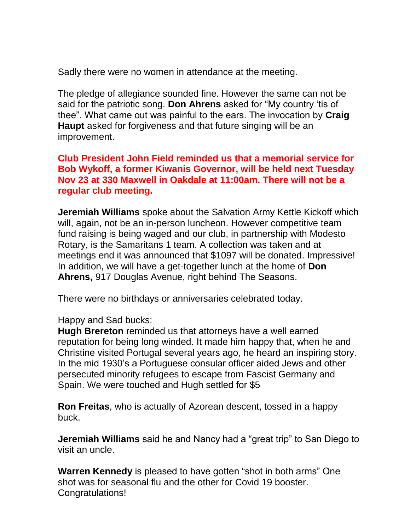Sadly there were no women in attendance at the meeting.

The pledge of allegiance sounded fine. However the same can not be said for the patriotic song. **Don Ahrens** asked for "My country 'tis of thee". What came out was painful to the ears. The invocation by **Craig Haupt** asked for forgiveness and that future singing will be an improvement.

**Club President John Field reminded us that a memorial service for Bob Wykoff, a former Kiwanis Governor, will be held next Tuesday Nov 23 at 330 Maxwell in Oakdale at 11:00am. There will not be a regular club meeting.**

**Jeremiah Williams** spoke about the Salvation Army Kettle Kickoff which will, again, not be an in-person luncheon. However competitive team fund raising is being waged and our club, in partnership with Modesto Rotary, is the Samaritans 1 team. A collection was taken and at meetings end it was announced that \$1097 will be donated. Impressive! In addition, we will have a get-together lunch at the home of **Don Ahrens,** 917 Douglas Avenue, right behind The Seasons.

There were no birthdays or anniversaries celebrated today.

Happy and Sad bucks:

**Hugh Brereton** reminded us that attorneys have a well earned reputation for being long winded. It made him happy that, when he and Christine visited Portugal several years ago, he heard an inspiring story. In the mid 1930's a Portuguese consular officer aided Jews and other persecuted minority refugees to escape from Fascist Germany and Spain. We were touched and Hugh settled for \$5

**Ron Freitas**, who is actually of Azorean descent, tossed in a happy buck.

**Jeremiah Williams** said he and Nancy had a "great trip" to San Diego to visit an uncle.

**Warren Kennedy** is pleased to have gotten "shot in both arms" One shot was for seasonal flu and the other for Covid 19 booster. Congratulations!